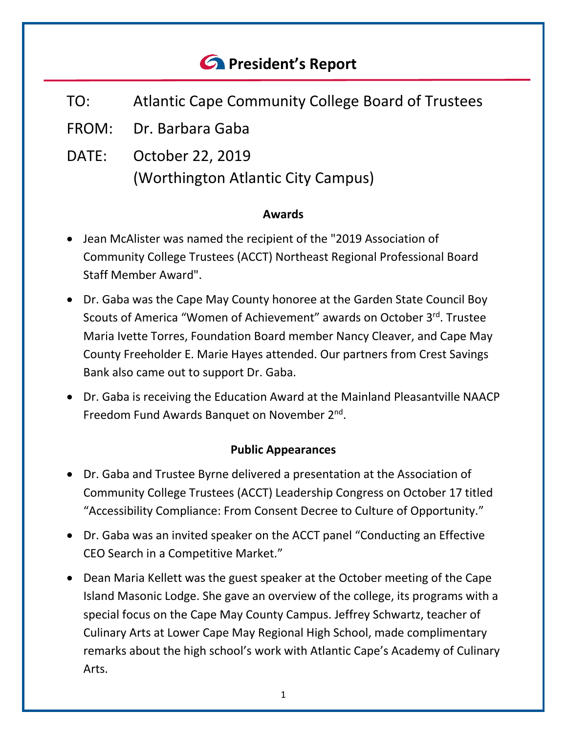# *<u>C* President's Report</u>

- TO: Atlantic Cape Community College Board of Trustees
- FROM: Dr. Barbara Gaba
- DATE: October 22, 2019 (Worthington Atlantic City Campus)

### **Awards**

- Jean McAlister was named the recipient of the "2019 Association of Community College Trustees (ACCT) Northeast Regional Professional Board Staff Member Award".
- Dr. Gaba was the Cape May County honoree at the Garden State Council Boy Scouts of America "Women of Achievement" awards on October 3rd. Trustee Maria Ivette Torres, Foundation Board member Nancy Cleaver, and Cape May County Freeholder E. Marie Hayes attended. Our partners from Crest Savings Bank also came out to support Dr. Gaba.
- Dr. Gaba is receiving the Education Award at the Mainland Pleasantville NAACP Freedom Fund Awards Banquet on November 2nd.

## **Public Appearances**

- Dr. Gaba and Trustee Byrne delivered a presentation at the Association of Community College Trustees (ACCT) Leadership Congress on October 17 titled "Accessibility Compliance: From Consent Decree to Culture of Opportunity."
- Dr. Gaba was an invited speaker on the ACCT panel "Conducting an Effective CEO Search in a Competitive Market."
- Dean Maria Kellett was the guest speaker at the October meeting of the Cape Island Masonic Lodge. She gave an overview of the college, its programs with a special focus on the Cape May County Campus. Jeffrey Schwartz, teacher of Culinary Arts at Lower Cape May Regional High School, made complimentary remarks about the high school's work with Atlantic Cape's Academy of Culinary Arts.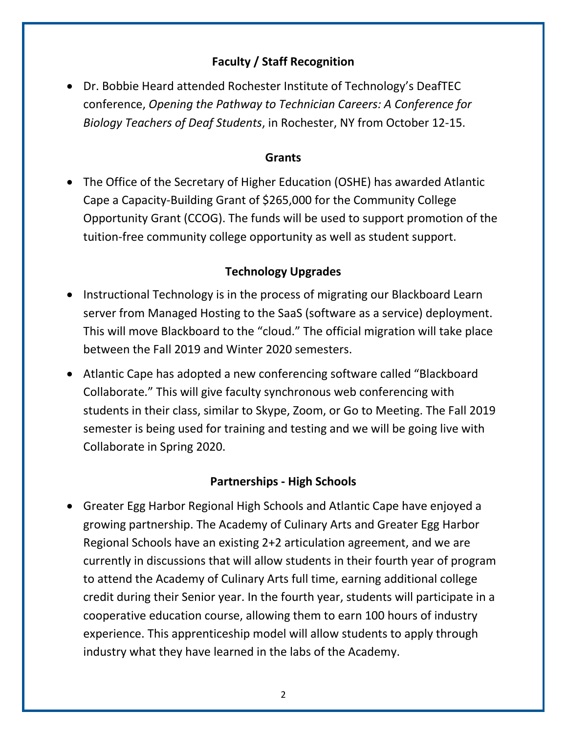# **Faculty / Staff Recognition**

• Dr. Bobbie Heard attended Rochester Institute of Technology's DeafTEC conference, *Opening the Pathway to Technician Careers: A Conference for Biology Teachers of Deaf Students*, in Rochester, NY from October 12-15.

#### **Grants**

• The Office of the Secretary of Higher Education (OSHE) has awarded Atlantic Cape a Capacity-Building Grant of \$265,000 for the Community College Opportunity Grant (CCOG). The funds will be used to support promotion of the tuition-free community college opportunity as well as student support.

# **Technology Upgrades**

- Instructional Technology is in the process of migrating our Blackboard Learn server from Managed Hosting to the SaaS (software as a service) deployment. This will move Blackboard to the "cloud." The official migration will take place between the Fall 2019 and Winter 2020 semesters.
- Atlantic Cape has adopted a new conferencing software called "Blackboard Collaborate." This will give faculty synchronous web conferencing with students in their class, similar to Skype, Zoom, or Go to Meeting. The Fall 2019 semester is being used for training and testing and we will be going live with Collaborate in Spring 2020.

#### **Partnerships - High Schools**

• Greater Egg Harbor Regional High Schools and Atlantic Cape have enjoyed a growing partnership. The Academy of Culinary Arts and Greater Egg Harbor Regional Schools have an existing 2+2 articulation agreement, and we are currently in discussions that will allow students in their fourth year of program to attend the Academy of Culinary Arts full time, earning additional college credit during their Senior year. In the fourth year, students will participate in a cooperative education course, allowing them to earn 100 hours of industry experience. This apprenticeship model will allow students to apply through industry what they have learned in the labs of the Academy.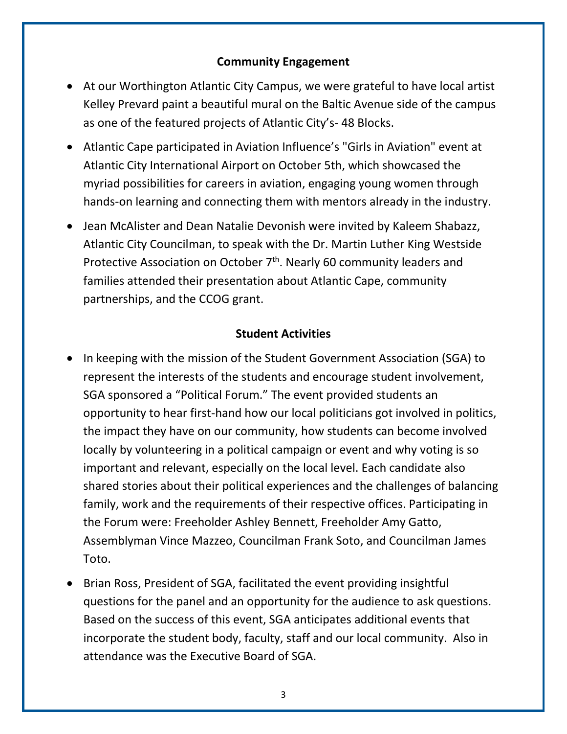#### **Community Engagement**

- At our Worthington Atlantic City Campus, we were grateful to have local artist Kelley Prevard paint a beautiful mural on the Baltic Avenue side of the campus as one of the featured projects of Atlantic City's- 48 Blocks.
- Atlantic Cape participated in Aviation Influence's "Girls in Aviation" event at Atlantic City International Airport on October 5th, which showcased the myriad possibilities for careers in aviation, engaging young women through hands-on learning and connecting them with mentors already in the industry.
- Jean McAlister and Dean Natalie Devonish were invited by Kaleem Shabazz, Atlantic City Councilman, to speak with the Dr. Martin Luther King Westside Protective Association on October 7<sup>th</sup>. Nearly 60 community leaders and families attended their presentation about Atlantic Cape, community partnerships, and the CCOG grant.

#### **Student Activities**

- In keeping with the mission of the Student Government Association (SGA) to represent the interests of the students and encourage student involvement, SGA sponsored a "Political Forum." The event provided students an opportunity to hear first-hand how our local politicians got involved in politics, the impact they have on our community, how students can become involved locally by volunteering in a political campaign or event and why voting is so important and relevant, especially on the local level. Each candidate also shared stories about their political experiences and the challenges of balancing family, work and the requirements of their respective offices. Participating in the Forum were: Freeholder Ashley Bennett, Freeholder Amy Gatto, Assemblyman Vince Mazzeo, Councilman Frank Soto, and Councilman James Toto.
- Brian Ross, President of SGA, facilitated the event providing insightful questions for the panel and an opportunity for the audience to ask questions. Based on the success of this event, SGA anticipates additional events that incorporate the student body, faculty, staff and our local community. Also in attendance was the Executive Board of SGA.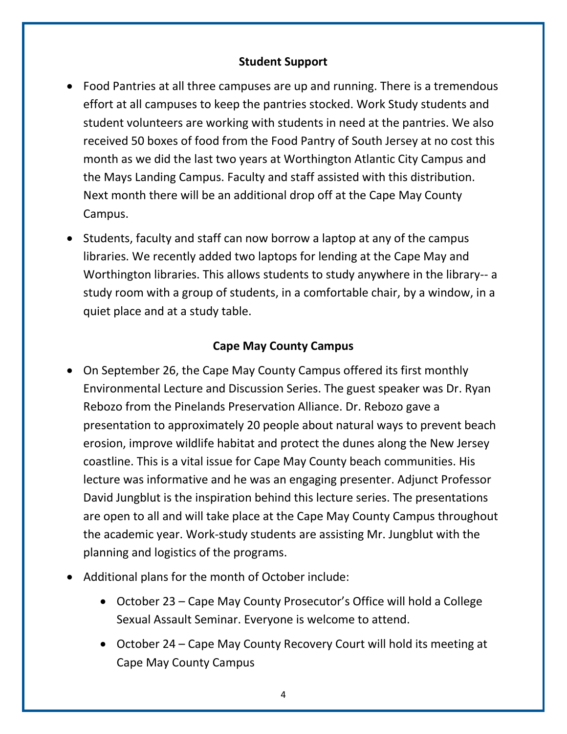#### **Student Support**

- Food Pantries at all three campuses are up and running. There is a tremendous effort at all campuses to keep the pantries stocked. Work Study students and student volunteers are working with students in need at the pantries. We also received 50 boxes of food from the Food Pantry of South Jersey at no cost this month as we did the last two years at Worthington Atlantic City Campus and the Mays Landing Campus. Faculty and staff assisted with this distribution. Next month there will be an additional drop off at the Cape May County Campus.
- Students, faculty and staff can now borrow a laptop at any of the campus libraries. We recently added two laptops for lending at the Cape May and Worthington libraries. This allows students to study anywhere in the library-- a study room with a group of students, in a comfortable chair, by a window, in a quiet place and at a study table.

# **Cape May County Campus**

- On September 26, the Cape May County Campus offered its first monthly Environmental Lecture and Discussion Series. The guest speaker was Dr. Ryan Rebozo from the Pinelands Preservation Alliance. Dr. Rebozo gave a presentation to approximately 20 people about natural ways to prevent beach erosion, improve wildlife habitat and protect the dunes along the New Jersey coastline. This is a vital issue for Cape May County beach communities. His lecture was informative and he was an engaging presenter. Adjunct Professor David Jungblut is the inspiration behind this lecture series. The presentations are open to all and will take place at the Cape May County Campus throughout the academic year. Work-study students are assisting Mr. Jungblut with the planning and logistics of the programs.
- Additional plans for the month of October include:
	- October 23 Cape May County Prosecutor's Office will hold a College Sexual Assault Seminar. Everyone is welcome to attend.
	- October 24 Cape May County Recovery Court will hold its meeting at Cape May County Campus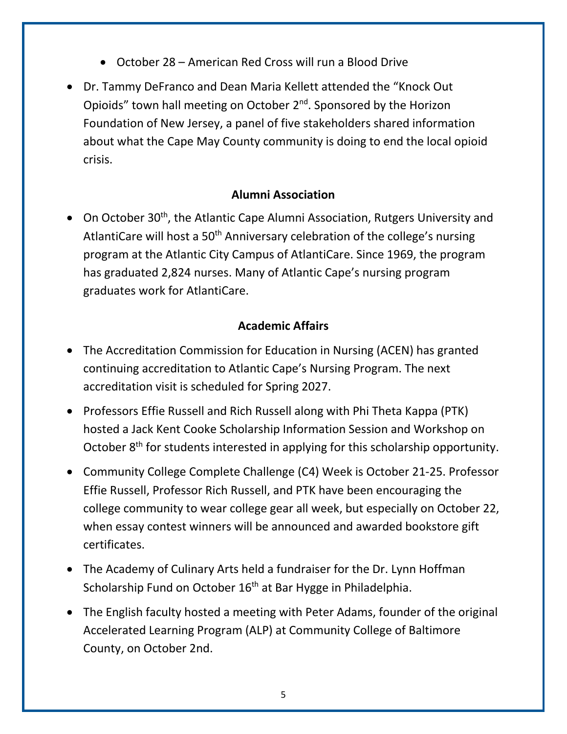- October 28 American Red Cross will run a Blood Drive
- Dr. Tammy DeFranco and Dean Maria Kellett attended the "Knock Out Opioids" town hall meeting on October 2<sup>nd</sup>. Sponsored by the Horizon Foundation of New Jersey, a panel of five stakeholders shared information about what the Cape May County community is doing to end the local opioid crisis.

## **Alumni Association**

• On October 30<sup>th</sup>, the Atlantic Cape Alumni Association, Rutgers University and AtlantiCare will host a 50<sup>th</sup> Anniversary celebration of the college's nursing program at the Atlantic City Campus of AtlantiCare. Since 1969, the program has graduated 2,824 nurses. Many of Atlantic Cape's nursing program graduates work for AtlantiCare.

#### **Academic Affairs**

- The Accreditation Commission for Education in Nursing (ACEN) has granted continuing accreditation to Atlantic Cape's Nursing Program. The next accreditation visit is scheduled for Spring 2027.
- Professors Effie Russell and Rich Russell along with Phi Theta Kappa (PTK) hosted a Jack Kent Cooke Scholarship Information Session and Workshop on October  $8<sup>th</sup>$  for students interested in applying for this scholarship opportunity.
- Community College Complete Challenge (C4) Week is October 21-25. Professor Effie Russell, Professor Rich Russell, and PTK have been encouraging the college community to wear college gear all week, but especially on October 22, when essay contest winners will be announced and awarded bookstore gift certificates.
- The Academy of Culinary Arts held a fundraiser for the Dr. Lynn Hoffman Scholarship Fund on October 16<sup>th</sup> at Bar Hygge in Philadelphia.
- The English faculty hosted a meeting with Peter Adams, founder of the original Accelerated Learning Program (ALP) at Community College of Baltimore County, on October 2nd.